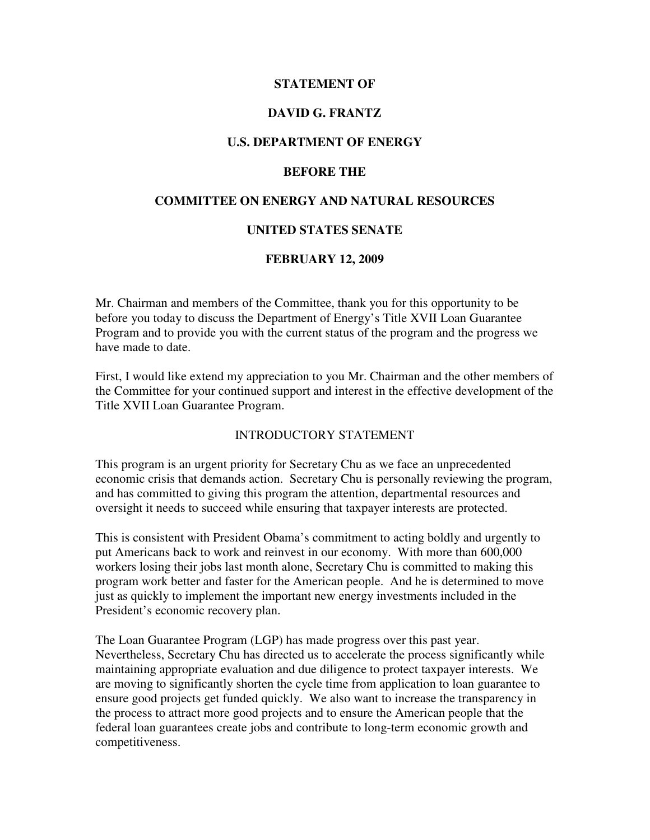### **STATEMENT OF**

## **DAVID G. FRANTZ**

## **U.S. DEPARTMENT OF ENERGY**

#### **BEFORE THE**

## **COMMITTEE ON ENERGY AND NATURAL RESOURCES**

### **UNITED STATES SENATE**

### **FEBRUARY 12, 2009**

Mr. Chairman and members of the Committee, thank you for this opportunity to be before you today to discuss the Department of Energy's Title XVII Loan Guarantee Program and to provide you with the current status of the program and the progress we have made to date.

First, I would like extend my appreciation to you Mr. Chairman and the other members of the Committee for your continued support and interest in the effective development of the Title XVII Loan Guarantee Program.

### INTRODUCTORY STATEMENT

This program is an urgent priority for Secretary Chu as we face an unprecedented economic crisis that demands action. Secretary Chu is personally reviewing the program, and has committed to giving this program the attention, departmental resources and oversight it needs to succeed while ensuring that taxpayer interests are protected.

This is consistent with President Obama's commitment to acting boldly and urgently to put Americans back to work and reinvest in our economy. With more than 600,000 workers losing their jobs last month alone, Secretary Chu is committed to making this program work better and faster for the American people. And he is determined to move just as quickly to implement the important new energy investments included in the President's economic recovery plan.

The Loan Guarantee Program (LGP) has made progress over this past year. Nevertheless, Secretary Chu has directed us to accelerate the process significantly while maintaining appropriate evaluation and due diligence to protect taxpayer interests. We are moving to significantly shorten the cycle time from application to loan guarantee to ensure good projects get funded quickly. We also want to increase the transparency in the process to attract more good projects and to ensure the American people that the federal loan guarantees create jobs and contribute to long-term economic growth and competitiveness.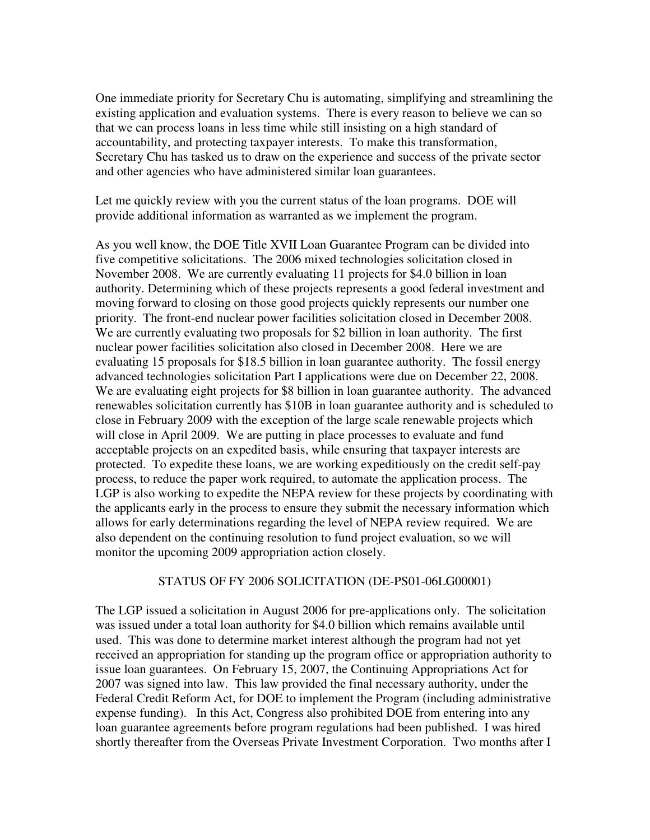One immediate priority for Secretary Chu is automating, simplifying and streamlining the existing application and evaluation systems. There is every reason to believe we can so that we can process loans in less time while still insisting on a high standard of accountability, and protecting taxpayer interests. To make this transformation, Secretary Chu has tasked us to draw on the experience and success of the private sector and other agencies who have administered similar loan guarantees.

Let me quickly review with you the current status of the loan programs. DOE will provide additional information as warranted as we implement the program.

As you well know, the DOE Title XVII Loan Guarantee Program can be divided into five competitive solicitations. The 2006 mixed technologies solicitation closed in November 2008. We are currently evaluating 11 projects for \$4.0 billion in loan authority. Determining which of these projects represents a good federal investment and moving forward to closing on those good projects quickly represents our number one priority. The front-end nuclear power facilities solicitation closed in December 2008. We are currently evaluating two proposals for \$2 billion in loan authority. The first nuclear power facilities solicitation also closed in December 2008. Here we are evaluating 15 proposals for \$18.5 billion in loan guarantee authority. The fossil energy advanced technologies solicitation Part I applications were due on December 22, 2008. We are evaluating eight projects for \$8 billion in loan guarantee authority. The advanced renewables solicitation currently has \$10B in loan guarantee authority and is scheduled to close in February 2009 with the exception of the large scale renewable projects which will close in April 2009. We are putting in place processes to evaluate and fund acceptable projects on an expedited basis, while ensuring that taxpayer interests are protected. To expedite these loans, we are working expeditiously on the credit self-pay process, to reduce the paper work required, to automate the application process. The LGP is also working to expedite the NEPA review for these projects by coordinating with the applicants early in the process to ensure they submit the necessary information which allows for early determinations regarding the level of NEPA review required. We are also dependent on the continuing resolution to fund project evaluation, so we will monitor the upcoming 2009 appropriation action closely.

#### STATUS OF FY 2006 SOLICITATION (DE-PS01-06LG00001)

The LGP issued a solicitation in August 2006 for pre-applications only. The solicitation was issued under a total loan authority for \$4.0 billion which remains available until used. This was done to determine market interest although the program had not yet received an appropriation for standing up the program office or appropriation authority to issue loan guarantees. On February 15, 2007, the Continuing Appropriations Act for 2007 was signed into law. This law provided the final necessary authority, under the Federal Credit Reform Act, for DOE to implement the Program (including administrative expense funding). In this Act, Congress also prohibited DOE from entering into any loan guarantee agreements before program regulations had been published. I was hired shortly thereafter from the Overseas Private Investment Corporation. Two months after I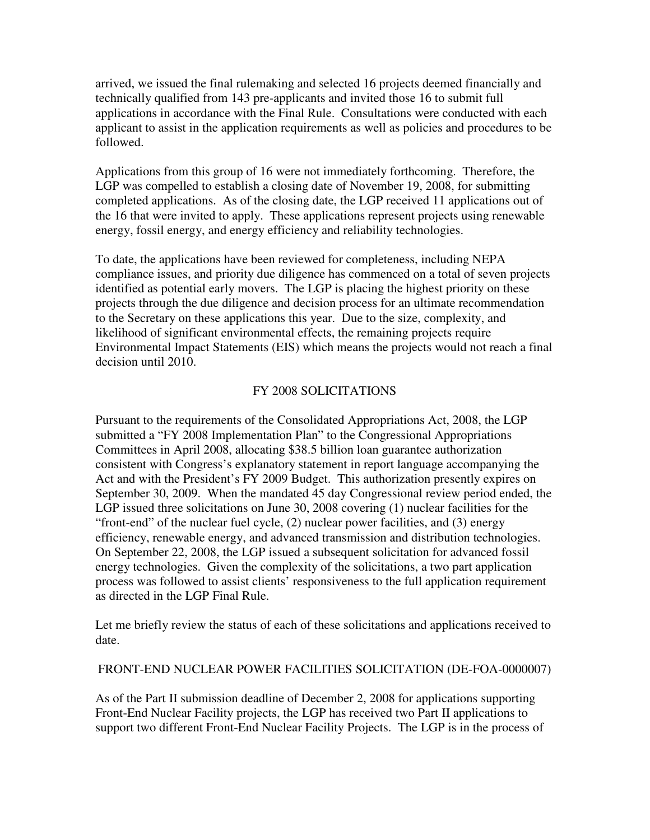arrived, we issued the final rulemaking and selected 16 projects deemed financially and technically qualified from 143 pre-applicants and invited those 16 to submit full applications in accordance with the Final Rule. Consultations were conducted with each applicant to assist in the application requirements as well as policies and procedures to be followed.

Applications from this group of 16 were not immediately forthcoming. Therefore, the LGP was compelled to establish a closing date of November 19, 2008, for submitting completed applications. As of the closing date, the LGP received 11 applications out of the 16 that were invited to apply. These applications represent projects using renewable energy, fossil energy, and energy efficiency and reliability technologies.

To date, the applications have been reviewed for completeness, including NEPA compliance issues, and priority due diligence has commenced on a total of seven projects identified as potential early movers. The LGP is placing the highest priority on these projects through the due diligence and decision process for an ultimate recommendation to the Secretary on these applications this year. Due to the size, complexity, and likelihood of significant environmental effects, the remaining projects require Environmental Impact Statements (EIS) which means the projects would not reach a final decision until 2010.

# FY 2008 SOLICITATIONS

Pursuant to the requirements of the Consolidated Appropriations Act, 2008, the LGP submitted a "FY 2008 Implementation Plan" to the Congressional Appropriations Committees in April 2008, allocating \$38.5 billion loan guarantee authorization consistent with Congress's explanatory statement in report language accompanying the Act and with the President's FY 2009 Budget. This authorization presently expires on September 30, 2009. When the mandated 45 day Congressional review period ended, the LGP issued three solicitations on June 30, 2008 covering (1) nuclear facilities for the "front-end" of the nuclear fuel cycle, (2) nuclear power facilities, and (3) energy efficiency, renewable energy, and advanced transmission and distribution technologies. On September 22, 2008, the LGP issued a subsequent solicitation for advanced fossil energy technologies. Given the complexity of the solicitations, a two part application process was followed to assist clients' responsiveness to the full application requirement as directed in the LGP Final Rule.

Let me briefly review the status of each of these solicitations and applications received to date.

# FRONT-END NUCLEAR POWER FACILITIES SOLICITATION (DE-FOA-0000007)

As of the Part II submission deadline of December 2, 2008 for applications supporting Front-End Nuclear Facility projects, the LGP has received two Part II applications to support two different Front-End Nuclear Facility Projects. The LGP is in the process of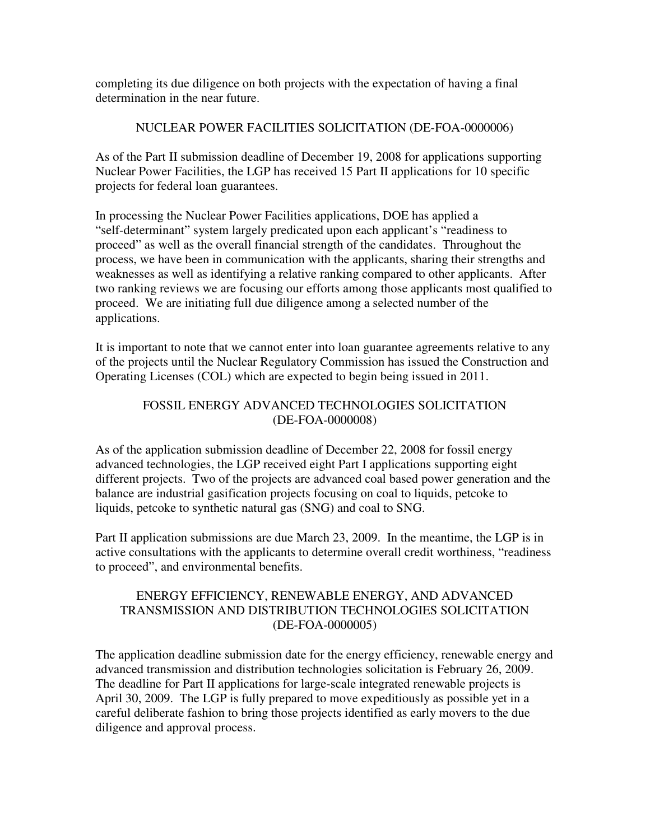completing its due diligence on both projects with the expectation of having a final determination in the near future.

# NUCLEAR POWER FACILITIES SOLICITATION (DE-FOA-0000006)

As of the Part II submission deadline of December 19, 2008 for applications supporting Nuclear Power Facilities, the LGP has received 15 Part II applications for 10 specific projects for federal loan guarantees.

In processing the Nuclear Power Facilities applications, DOE has applied a "self-determinant" system largely predicated upon each applicant's "readiness to proceed" as well as the overall financial strength of the candidates. Throughout the process, we have been in communication with the applicants, sharing their strengths and weaknesses as well as identifying a relative ranking compared to other applicants. After two ranking reviews we are focusing our efforts among those applicants most qualified to proceed. We are initiating full due diligence among a selected number of the applications.

It is important to note that we cannot enter into loan guarantee agreements relative to any of the projects until the Nuclear Regulatory Commission has issued the Construction and Operating Licenses (COL) which are expected to begin being issued in 2011.

# FOSSIL ENERGY ADVANCED TECHNOLOGIES SOLICITATION (DE-FOA-0000008)

As of the application submission deadline of December 22, 2008 for fossil energy advanced technologies, the LGP received eight Part I applications supporting eight different projects. Two of the projects are advanced coal based power generation and the balance are industrial gasification projects focusing on coal to liquids, petcoke to liquids, petcoke to synthetic natural gas (SNG) and coal to SNG.

Part II application submissions are due March 23, 2009. In the meantime, the LGP is in active consultations with the applicants to determine overall credit worthiness, "readiness to proceed", and environmental benefits.

## ENERGY EFFICIENCY, RENEWABLE ENERGY, AND ADVANCED TRANSMISSION AND DISTRIBUTION TECHNOLOGIES SOLICITATION (DE-FOA-0000005)

The application deadline submission date for the energy efficiency, renewable energy and advanced transmission and distribution technologies solicitation is February 26, 2009. The deadline for Part II applications for large-scale integrated renewable projects is April 30, 2009. The LGP is fully prepared to move expeditiously as possible yet in a careful deliberate fashion to bring those projects identified as early movers to the due diligence and approval process.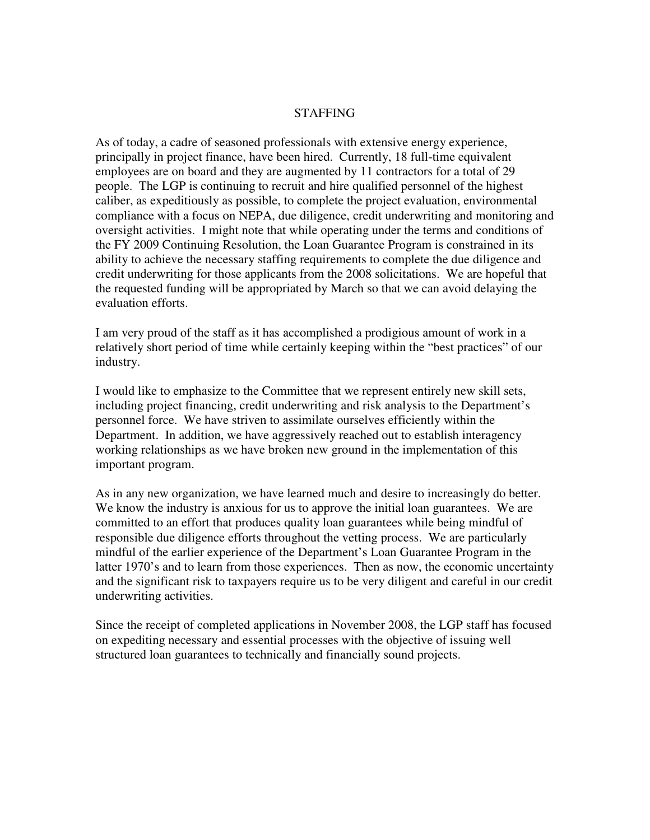### **STAFFING**

As of today, a cadre of seasoned professionals with extensive energy experience, principally in project finance, have been hired. Currently, 18 full-time equivalent employees are on board and they are augmented by 11 contractors for a total of 29 people. The LGP is continuing to recruit and hire qualified personnel of the highest caliber, as expeditiously as possible, to complete the project evaluation, environmental compliance with a focus on NEPA, due diligence, credit underwriting and monitoring and oversight activities. I might note that while operating under the terms and conditions of the FY 2009 Continuing Resolution, the Loan Guarantee Program is constrained in its ability to achieve the necessary staffing requirements to complete the due diligence and credit underwriting for those applicants from the 2008 solicitations. We are hopeful that the requested funding will be appropriated by March so that we can avoid delaying the evaluation efforts.

I am very proud of the staff as it has accomplished a prodigious amount of work in a relatively short period of time while certainly keeping within the "best practices" of our industry.

I would like to emphasize to the Committee that we represent entirely new skill sets, including project financing, credit underwriting and risk analysis to the Department's personnel force. We have striven to assimilate ourselves efficiently within the Department. In addition, we have aggressively reached out to establish interagency working relationships as we have broken new ground in the implementation of this important program.

As in any new organization, we have learned much and desire to increasingly do better. We know the industry is anxious for us to approve the initial loan guarantees. We are committed to an effort that produces quality loan guarantees while being mindful of responsible due diligence efforts throughout the vetting process. We are particularly mindful of the earlier experience of the Department's Loan Guarantee Program in the latter 1970's and to learn from those experiences. Then as now, the economic uncertainty and the significant risk to taxpayers require us to be very diligent and careful in our credit underwriting activities.

Since the receipt of completed applications in November 2008, the LGP staff has focused on expediting necessary and essential processes with the objective of issuing well structured loan guarantees to technically and financially sound projects.